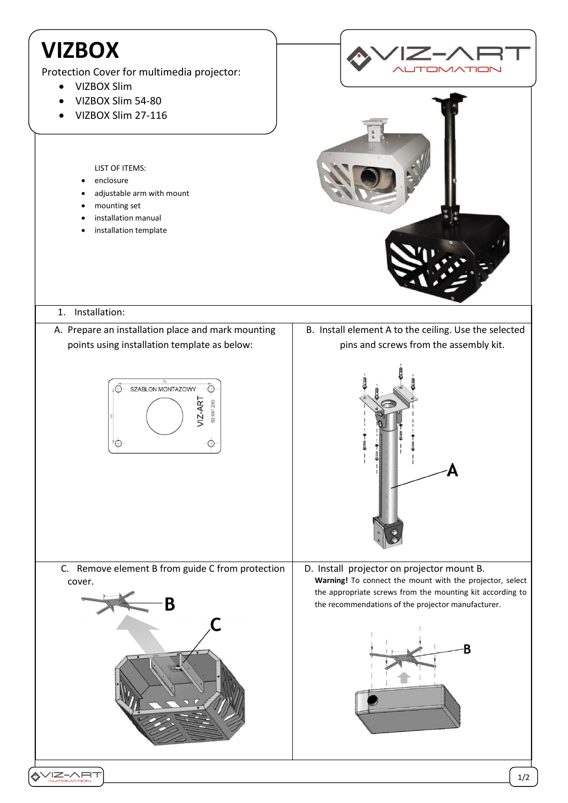## **VIZBOX**

Protection Cover for multimedia projector:

adjustable arm with mount

- VIZBOX Slim
- VIZBOX Slim 54-80
- VIZBOX Slim 27-116

LIST OF ITEMS: enclosure

 mounting set installation manual installation template B. Install element A to the ceiling. Use the selected

## 1. Installation:

A. Prepare an installation place and mark mounting points using installation template as below:





C. Remove element B from guide C from protection cover.